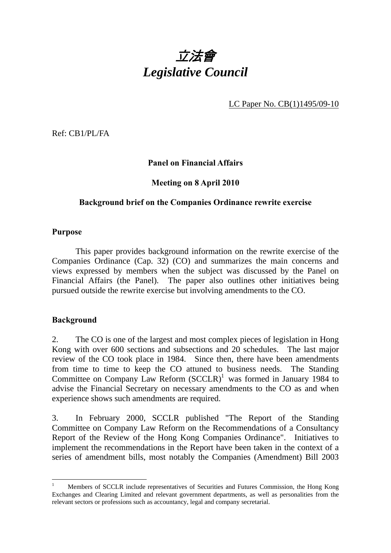

LC Paper No. CB(1)1495/09-10

Ref: CB1/PL/FA

# **Panel on Financial Affairs**

# **Meeting on 8 April 2010**

#### **Background brief on the Companies Ordinance rewrite exercise**

#### **Purpose**

 This paper provides background information on the rewrite exercise of the Companies Ordinance (Cap. 32) (CO) and summarizes the main concerns and views expressed by members when the subject was discussed by the Panel on Financial Affairs (the Panel). The paper also outlines other initiatives being pursued outside the rewrite exercise but involving amendments to the CO.

# **Background**

 $\overline{a}$ 

2. The CO is one of the largest and most complex pieces of legislation in Hong Kong with over 600 sections and subsections and 20 schedules. The last major review of the CO took place in 1984. Since then, there have been amendments from time to time to keep the CO attuned to business needs. The Standing Committee on Company Law Reform  $(SCCLR)^1$  was formed in January 1984 to advise the Financial Secretary on necessary amendments to the CO as and when experience shows such amendments are required.

3. In February 2000, SCCLR published "The Report of the Standing Committee on Company Law Reform on the Recommendations of a Consultancy Report of the Review of the Hong Kong Companies Ordinance". Initiatives to implement the recommendations in the Report have been taken in the context of a series of amendment bills, most notably the Companies (Amendment) Bill 2003

<sup>1</sup> Members of SCCLR include representatives of Securities and Futures Commission, the Hong Kong Exchanges and Clearing Limited and relevant government departments, as well as personalities from the relevant sectors or professions such as accountancy, legal and company secretarial.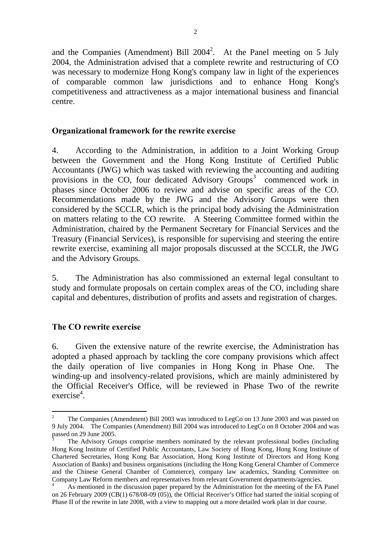and the Companies (Amendment) Bill  $2004^2$ . At the Panel meeting on 5 July 2004, the Administration advised that a complete rewrite and restructuring of CO was necessary to modernize Hong Kong's company law in light of the experiences of comparable common law jurisdictions and to enhance Hong Kong's competitiveness and attractiveness as a major international business and financial centre.

#### **Organizational framework for the rewrite exercise**

4. According to the Administration, in addition to a Joint Working Group between the Government and the Hong Kong Institute of Certified Public Accountants (JWG) which was tasked with reviewing the accounting and auditing provisions in the CO, four dedicated Advisory Groups<sup>3</sup> commenced work in phases since October 2006 to review and advise on specific areas of the CO. Recommendations made by the JWG and the Advisory Groups were then considered by the SCCLR, which is the principal body advising the Administration on matters relating to the CO rewrite. A Steering Committee formed within the Administration, chaired by the Permanent Secretary for Financial Services and the Treasury (Financial Services), is responsible for supervising and steering the entire rewrite exercise, examining all major proposals discussed at the SCCLR, the JWG and the Advisory Groups.

5. The Administration has also commissioned an external legal consultant to study and formulate proposals on certain complex areas of the CO, including share capital and debentures, distribution of profits and assets and registration of charges.

# **The CO rewrite exercise**

 $\overline{a}$ 

6. Given the extensive nature of the rewrite exercise, the Administration has adopted a phased approach by tackling the core company provisions which affect the daily operation of live companies in Hong Kong in Phase One. The winding-up and insolvency-related provisions, which are mainly administered by the Official Receiver's Office, will be reviewed in Phase Two of the rewrite exercise<sup>4</sup>.

<sup>2</sup> The Companies (Amendment) Bill 2003 was introduced to LegCo on 13 June 2003 and was passed on 9 July 2004. The Companies (Amendment) Bill 2004 was introduced to LegCo on 8 October 2004 and was passed on 29 June 2005.

<sup>3</sup> The Advisory Groups comprise members nominated by the relevant professional bodies (including Hong Kong Institute of Certified Public Accountants, Law Society of Hong Kong, Hong Kong Institute of Chartered Secretaries, Hong Kong Bar Association, Hong Kong Institute of Directors and Hong Kong Association of Banks) and business organisations (including the Hong Kong General Chamber of Commerce and the Chinese General Chamber of Commerce), company law academics, Standing Committee on Company Law Reform members and representatives from relevant Government departments/agencies.

<sup>4</sup> As mentioned in the discussion paper prepared by the Administration for the meeting of the FA Panel on 26 February 2009 (CB(1) 678/08-09 (05)), the Official Receiver's Office had started the initial scoping of Phase II of the rewrite in late 2008, with a view to mapping out a more detailed work plan in due course.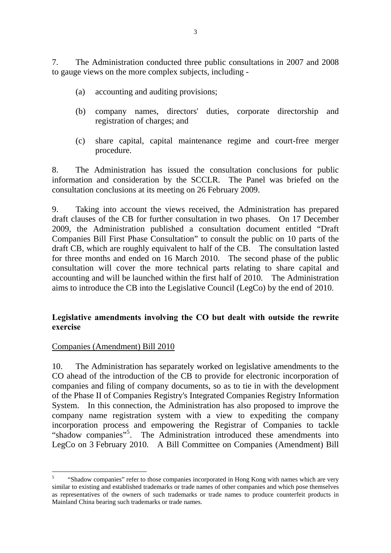7. The Administration conducted three public consultations in 2007 and 2008 to gauge views on the more complex subjects, including -

- (a) accounting and auditing provisions;
- (b) company names, directors' duties, corporate directorship and registration of charges; and
- (c) share capital, capital maintenance regime and court-free merger procedure.

8. The Administration has issued the consultation conclusions for public information and consideration by the SCCLR. The Panel was briefed on the consultation conclusions at its meeting on 26 February 2009.

9. Taking into account the views received, the Administration has prepared draft clauses of the CB for further consultation in two phases. On 17 December 2009, the Administration published a consultation document entitled "Draft Companies Bill First Phase Consultation" to consult the public on 10 parts of the draft CB, which are roughly equivalent to half of the CB. The consultation lasted for three months and ended on 16 March 2010. The second phase of the public consultation will cover the more technical parts relating to share capital and accounting and will be launched within the first half of 2010. The Administration aims to introduce the CB into the Legislative Council (LegCo) by the end of 2010.

# **Legislative amendments involving the CO but dealt with outside the rewrite exercise**

# Companies (Amendment) Bill 2010

10. The Administration has separately worked on legislative amendments to the CO ahead of the introduction of the CB to provide for electronic incorporation of companies and filing of company documents, so as to tie in with the development of the Phase II of Companies Registry's Integrated Companies Registry Information System. In this connection, the Administration has also proposed to improve the company name registration system with a view to expediting the company incorporation process and empowering the Registrar of Companies to tackle "shadow companies"<sup>5</sup>. The Administration introduced these amendments into LegCo on 3 February 2010. A Bill Committee on Companies (Amendment) Bill

 $\overline{5}$ 5 "Shadow companies" refer to those companies incorporated in Hong Kong with names which are very similar to existing and established trademarks or trade names of other companies and which pose themselves as representatives of the owners of such trademarks or trade names to produce counterfeit products in Mainland China bearing such trademarks or trade names.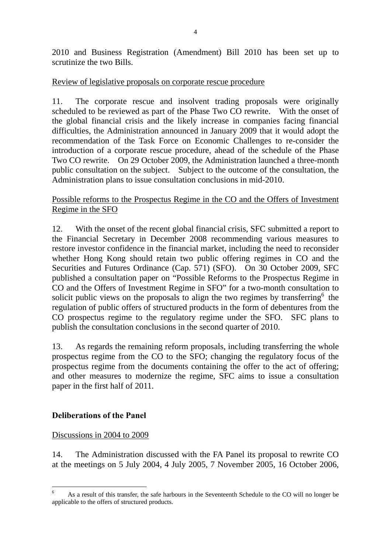2010 and Business Registration (Amendment) Bill 2010 has been set up to scrutinize the two Bills.

#### Review of legislative proposals on corporate rescue procedure

11. The corporate rescue and insolvent trading proposals were originally scheduled to be reviewed as part of the Phase Two CO rewrite. With the onset of the global financial crisis and the likely increase in companies facing financial difficulties, the Administration announced in January 2009 that it would adopt the recommendation of the Task Force on Economic Challenges to re-consider the introduction of a corporate rescue procedure, ahead of the schedule of the Phase Two CO rewrite. On 29 October 2009, the Administration launched a three-month public consultation on the subject. Subject to the outcome of the consultation, the Administration plans to issue consultation conclusions in mid-2010.

#### Possible reforms to the Prospectus Regime in the CO and the Offers of Investment Regime in the SFO

12. With the onset of the recent global financial crisis, SFC submitted a report to the Financial Secretary in December 2008 recommending various measures to restore investor confidence in the financial market, including the need to reconsider whether Hong Kong should retain two public offering regimes in CO and the Securities and Futures Ordinance (Cap. 571) (SFO). On 30 October 2009, SFC published a consultation paper on "Possible Reforms to the Prospectus Regime in CO and the Offers of Investment Regime in SFO" for a two-month consultation to solicit public views on the proposals to align the two regimes by transferring  $6$  the regulation of public offers of structured products in the form of debentures from the CO prospectus regime to the regulatory regime under the SFO. SFC plans to publish the consultation conclusions in the second quarter of 2010.

13. As regards the remaining reform proposals, including transferring the whole prospectus regime from the CO to the SFO; changing the regulatory focus of the prospectus regime from the documents containing the offer to the act of offering; and other measures to modernize the regime, SFC aims to issue a consultation paper in the first half of 2011.

# **Deliberations of the Panel**

# Discussions in 2004 to 2009

14. The Administration discussed with the FA Panel its proposal to rewrite CO at the meetings on 5 July 2004, 4 July 2005, 7 November 2005, 16 October 2006,

 $\frac{1}{6}$  As a result of this transfer, the safe harbours in the Seventeenth Schedule to the CO will no longer be applicable to the offers of structured products.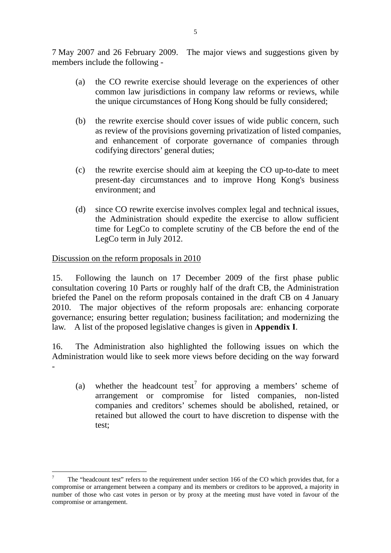7 May 2007 and 26 February 2009. The major views and suggestions given by members include the following -

- (a) the CO rewrite exercise should leverage on the experiences of other common law jurisdictions in company law reforms or reviews, while the unique circumstances of Hong Kong should be fully considered;
- (b) the rewrite exercise should cover issues of wide public concern, such as review of the provisions governing privatization of listed companies, and enhancement of corporate governance of companies through codifying directors' general duties;
- (c) the rewrite exercise should aim at keeping the CO up-to-date to meet present-day circumstances and to improve Hong Kong's business environment; and
- (d) since CO rewrite exercise involves complex legal and technical issues, the Administration should expedite the exercise to allow sufficient time for LegCo to complete scrutiny of the CB before the end of the LegCo term in July 2012.

# Discussion on the reform proposals in 2010

15. Following the launch on 17 December 2009 of the first phase public consultation covering 10 Parts or roughly half of the draft CB, the Administration briefed the Panel on the reform proposals contained in the draft CB on 4 January 2010. The major objectives of the reform proposals are: enhancing corporate governance; ensuring better regulation; business facilitation; and modernizing the law. A list of the proposed legislative changes is given in **Appendix I**.

16. The Administration also highlighted the following issues on which the Administration would like to seek more views before deciding on the way forward -

(a) whether the headcount test<sup>7</sup> for approving a members' scheme of arrangement or compromise for listed companies, non-listed companies and creditors' schemes should be abolished, retained, or retained but allowed the court to have discretion to dispense with the test;

<sup>-&</sup>lt;br>7 The "headcount test" refers to the requirement under section 166 of the CO which provides that, for a compromise or arrangement between a company and its members or creditors to be approved, a majority in number of those who cast votes in person or by proxy at the meeting must have voted in favour of the compromise or arrangement.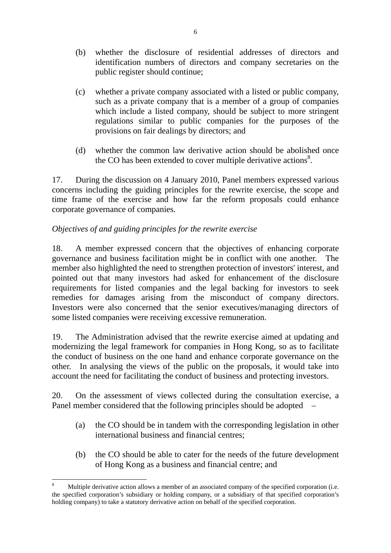- (b) whether the disclosure of residential addresses of directors and identification numbers of directors and company secretaries on the public register should continue;
- (c) whether a private company associated with a listed or public company, such as a private company that is a member of a group of companies which include a listed company, should be subject to more stringent regulations similar to public companies for the purposes of the provisions on fair dealings by directors; and
- (d) whether the common law derivative action should be abolished once the CO has been extended to cover multiple derivative actions $8$ .

17. During the discussion on 4 January 2010, Panel members expressed various concerns including the guiding principles for the rewrite exercise, the scope and time frame of the exercise and how far the reform proposals could enhance corporate governance of companies.

# *Objectives of and guiding principles for the rewrite exercise*

18. A member expressed concern that the objectives of enhancing corporate governance and business facilitation might be in conflict with one another. The member also highlighted the need to strengthen protection of investors' interest, and pointed out that many investors had asked for enhancement of the disclosure requirements for listed companies and the legal backing for investors to seek remedies for damages arising from the misconduct of company directors. Investors were also concerned that the senior executives/managing directors of some listed companies were receiving excessive remuneration.

19. The Administration advised that the rewrite exercise aimed at updating and modernizing the legal framework for companies in Hong Kong, so as to facilitate the conduct of business on the one hand and enhance corporate governance on the other. In analysing the views of the public on the proposals, it would take into account the need for facilitating the conduct of business and protecting investors.

20. On the assessment of views collected during the consultation exercise, a Panel member considered that the following principles should be adopted –

- (a) the CO should be in tandem with the corresponding legislation in other international business and financial centres;
- (b) the CO should be able to cater for the needs of the future development of Hong Kong as a business and financial centre; and

 $\overline{a}$ 

<sup>8</sup> Multiple derivative action allows a member of an associated company of the specified corporation (i.e. the specified corporation's subsidiary or holding company, or a subsidiary of that specified corporation's holding company) to take a statutory derivative action on behalf of the specified corporation.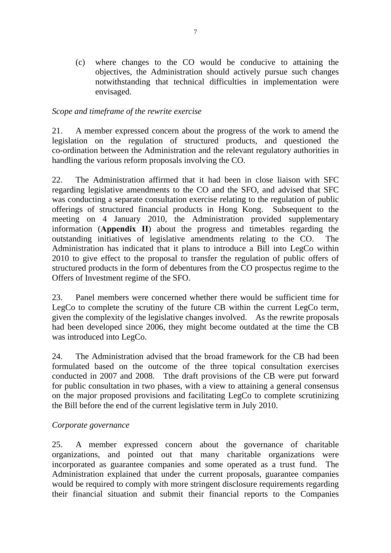(c) where changes to the CO would be conducive to attaining the objectives, the Administration should actively pursue such changes notwithstanding that technical difficulties in implementation were envisaged.

#### *Scope and timeframe of the rewrite exercise*

21. A member expressed concern about the progress of the work to amend the legislation on the regulation of structured products, and questioned the co-ordination between the Administration and the relevant regulatory authorities in handling the various reform proposals involving the CO.

22. The Administration affirmed that it had been in close liaison with SFC regarding legislative amendments to the CO and the SFO, and advised that SFC was conducting a separate consultation exercise relating to the regulation of public offerings of structured financial products in Hong Kong. Subsequent to the meeting on 4 January 2010, the Administration provided supplementary information (**Appendix II**) about the progress and timetables regarding the outstanding initiatives of legislative amendments relating to the CO. The Administration has indicated that it plans to introduce a Bill into LegCo within 2010 to give effect to the proposal to transfer the regulation of public offers of structured products in the form of debentures from the CO prospectus regime to the Offers of Investment regime of the SFO.

23. Panel members were concerned whether there would be sufficient time for LegCo to complete the scrutiny of the future CB within the current LegCo term, given the complexity of the legislative changes involved. As the rewrite proposals had been developed since 2006, they might become outdated at the time the CB was introduced into LegCo.

24. The Administration advised that the broad framework for the CB had been formulated based on the outcome of the three topical consultation exercises conducted in 2007 and 2008. Tthe draft provisions of the CB were put forward for public consultation in two phases, with a view to attaining a general consensus on the major proposed provisions and facilitating LegCo to complete scrutinizing the Bill before the end of the current legislative term in July 2010.

#### *Corporate governance*

25. A member expressed concern about the governance of charitable organizations, and pointed out that many charitable organizations were incorporated as guarantee companies and some operated as a trust fund. The Administration explained that under the current proposals, guarantee companies would be required to comply with more stringent disclosure requirements regarding their financial situation and submit their financial reports to the Companies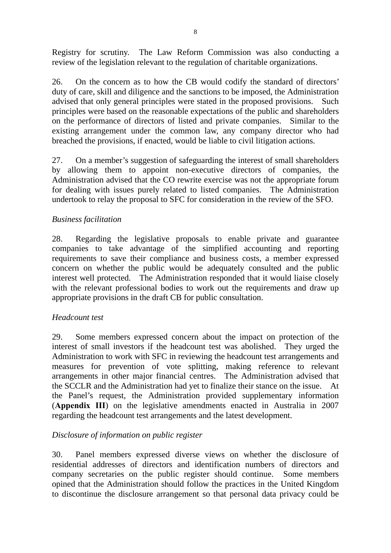Registry for scrutiny. The Law Reform Commission was also conducting a review of the legislation relevant to the regulation of charitable organizations.

26. On the concern as to how the CB would codify the standard of directors' duty of care, skill and diligence and the sanctions to be imposed, the Administration advised that only general principles were stated in the proposed provisions. Such principles were based on the reasonable expectations of the public and shareholders on the performance of directors of listed and private companies. Similar to the existing arrangement under the common law, any company director who had breached the provisions, if enacted, would be liable to civil litigation actions.

27. On a member's suggestion of safeguarding the interest of small shareholders by allowing them to appoint non-executive directors of companies, the Administration advised that the CO rewrite exercise was not the appropriate forum for dealing with issues purely related to listed companies. The Administration undertook to relay the proposal to SFC for consideration in the review of the SFO.

# *Business facilitation*

28. Regarding the legislative proposals to enable private and guarantee companies to take advantage of the simplified accounting and reporting requirements to save their compliance and business costs, a member expressed concern on whether the public would be adequately consulted and the public interest well protected. The Administration responded that it would liaise closely with the relevant professional bodies to work out the requirements and draw up appropriate provisions in the draft CB for public consultation.

# *Headcount test*

29. Some members expressed concern about the impact on protection of the interest of small investors if the headcount test was abolished. They urged the Administration to work with SFC in reviewing the headcount test arrangements and measures for prevention of vote splitting, making reference to relevant arrangements in other major financial centres.The Administration advised that the SCCLR and the Administration had yet to finalize their stance on the issue. At the Panel's request, the Administration provided supplementary information (**Appendix III**) on the legislative amendments enacted in Australia in 2007 regarding the headcount test arrangements and the latest development.

# *Disclosure of information on public register*

30. Panel members expressed diverse views on whether the disclosure of residential addresses of directors and identification numbers of directors and company secretaries on the public register should continue. Some members opined that the Administration should follow the practices in the United Kingdom to discontinue the disclosure arrangement so that personal data privacy could be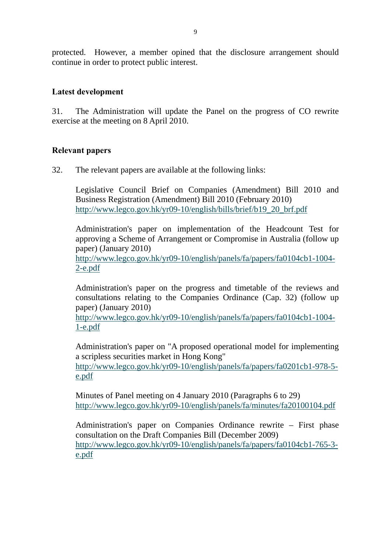protected. However, a member opined that the disclosure arrangement should continue in order to protect public interest.

#### **Latest development**

31. The Administration will update the Panel on the progress of CO rewrite exercise at the meeting on 8 April 2010.

#### **Relevant papers**

32. The relevant papers are available at the following links:

Legislative Council Brief on Companies (Amendment) Bill 2010 and Business Registration (Amendment) Bill 2010 (February 2010) http://www.legco.gov.hk/yr09-10/english/bills/brief/b19\_20\_brf.pdf

Administration's paper on implementation of the Headcount Test for approving a Scheme of Arrangement or Compromise in Australia (follow up paper) (January 2010)

http://www.legco.gov.hk/yr09-10/english/panels/fa/papers/fa0104cb1-1004- 2-e.pdf

Administration's paper on the progress and timetable of the reviews and consultations relating to the Companies Ordinance (Cap. 32) (follow up paper) (January 2010)

http://www.legco.gov.hk/yr09-10/english/panels/fa/papers/fa0104cb1-1004- 1-e.pdf

Administration's paper on "A proposed operational model for implementing a scripless securities market in Hong Kong"

http://www.legco.gov.hk/yr09-10/english/panels/fa/papers/fa0201cb1-978-5 e.pdf

Minutes of Panel meeting on 4 January 2010 (Paragraphs 6 to 29) http://www.legco.gov.hk/yr09-10/english/panels/fa/minutes/fa20100104.pdf

Administration's paper on Companies Ordinance rewrite – First phase consultation on the Draft Companies Bill (December 2009) http://www.legco.gov.hk/yr09-10/english/panels/fa/papers/fa0104cb1-765-3 e.pdf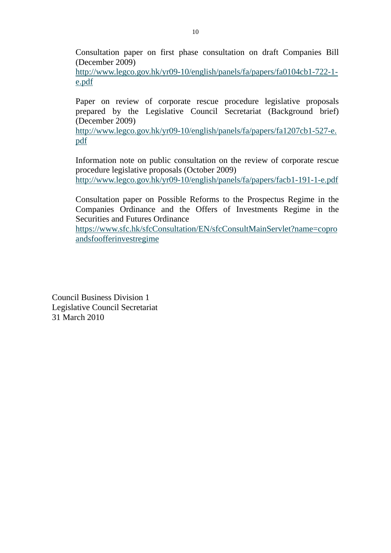Consultation paper on first phase consultation on draft Companies Bill (December 2009)

http://www.legco.gov.hk/yr09-10/english/panels/fa/papers/fa0104cb1-722-1 e.pdf

Paper on review of corporate rescue procedure legislative proposals prepared by the Legislative Council Secretariat (Background brief) (December 2009)

http://www.legco.gov.hk/yr09-10/english/panels/fa/papers/fa1207cb1-527-e. pdf

Information note on public consultation on the review of corporate rescue procedure legislative proposals (October 2009)

http://www.legco.gov.hk/yr09-10/english/panels/fa/papers/facb1-191-1-e.pdf

Consultation paper on Possible Reforms to the Prospectus Regime in the Companies Ordinance and the Offers of Investments Regime in the Securities and Futures Ordinance

https://www.sfc.hk/sfcConsultation/EN/sfcConsultMainServlet?name=copro andsfoofferinvestregime

Council Business Division 1 Legislative Council Secretariat 31 March 2010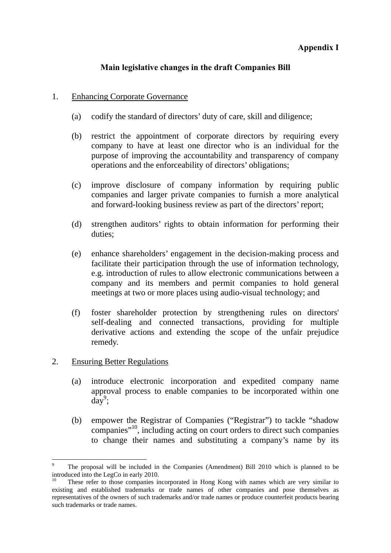#### **Appendix I**

# **Main legislative changes in the draft Companies Bill**

#### 1. Enhancing Corporate Governance

- (a) codify the standard of directors' duty of care, skill and diligence;
- (b) restrict the appointment of corporate directors by requiring every company to have at least one director who is an individual for the purpose of improving the accountability and transparency of company operations and the enforceability of directors' obligations;
- (c) improve disclosure of company information by requiring public companies and larger private companies to furnish a more analytical and forward-looking business review as part of the directors' report;
- (d) strengthen auditors' rights to obtain information for performing their duties;
- (e) enhance shareholders' engagement in the decision-making process and facilitate their participation through the use of information technology, e.g. introduction of rules to allow electronic communications between a company and its members and permit companies to hold general meetings at two or more places using audio-visual technology; and
- (f) foster shareholder protection by strengthening rules on directors' self-dealing and connected transactions, providing for multiple derivative actions and extending the scope of the unfair prejudice remedy.

# 2. Ensuring Better Regulations

- (a) introduce electronic incorporation and expedited company name approval process to enable companies to be incorporated within one  $\widehat{day}^9$ ;
- (b) empower the Registrar of Companies ("Registrar") to tackle "shadow companies"10, including acting on court orders to direct such companies to change their names and substituting a company's name by its

 $\overline{a}$ 9 The proposal will be included in the Companies (Amendment) Bill 2010 which is planned to be introduced into the LegCo in early 2010.

These refer to those companies incorporated in Hong Kong with names which are very similar to existing and established trademarks or trade names of other companies and pose themselves as representatives of the owners of such trademarks and/or trade names or produce counterfeit products bearing such trademarks or trade names.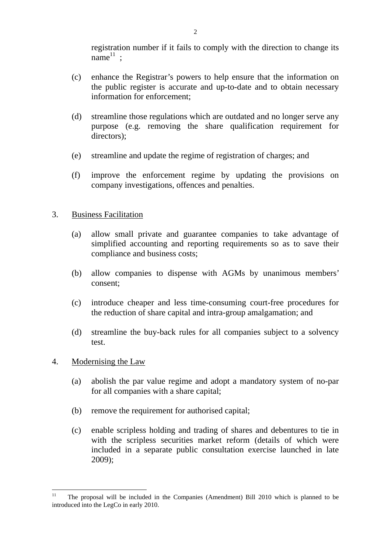registration number if it fails to comply with the direction to change its  $name<sup>11</sup>$ ;

- (c) enhance the Registrar's powers to help ensure that the information on the public register is accurate and up-to-date and to obtain necessary information for enforcement;
- (d) streamline those regulations which are outdated and no longer serve any purpose (e.g. removing the share qualification requirement for directors);
- (e) streamline and update the regime of registration of charges; and
- (f) improve the enforcement regime by updating the provisions on company investigations, offences and penalties.

#### 3. Business Facilitation

- (a) allow small private and guarantee companies to take advantage of simplified accounting and reporting requirements so as to save their compliance and business costs;
- (b) allow companies to dispense with AGMs by unanimous members' consent;
- (c) introduce cheaper and less time-consuming court-free procedures for the reduction of share capital and intra-group amalgamation; and
- (d) streamline the buy-back rules for all companies subject to a solvency test.

#### 4. Modernising the Law

- (a) abolish the par value regime and adopt a mandatory system of no-par for all companies with a share capital;
- (b) remove the requirement for authorised capital;
- (c) enable scripless holding and trading of shares and debentures to tie in with the scripless securities market reform (details of which were included in a separate public consultation exercise launched in late 2009);

 $11$ 11 The proposal will be included in the Companies (Amendment) Bill 2010 which is planned to be introduced into the LegCo in early 2010.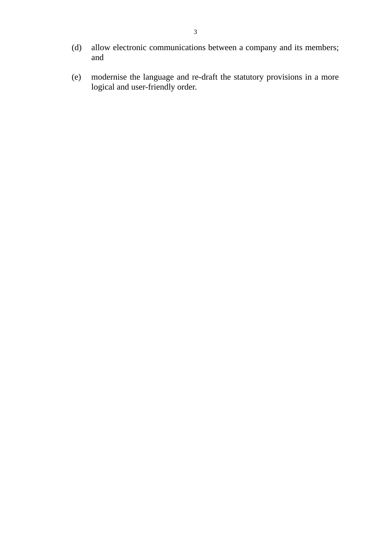- (d) allow electronic communications between a company and its members; and
- (e) modernise the language and re-draft the statutory provisions in a more logical and user-friendly order.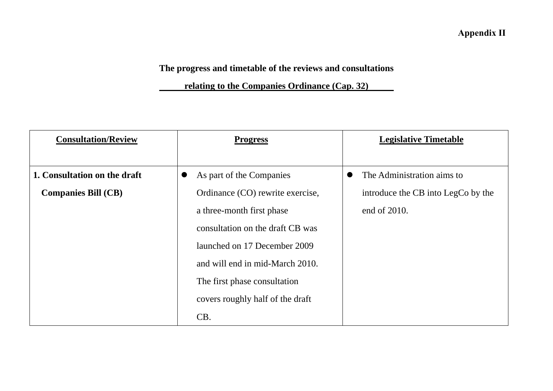**Annex A Appendix II**

# **The progress and timetable of the reviews and consultations**

 **relating to the Companies Ordinance (Cap. 32)** 

| <b>Consultation/Review</b>   | <b>Progress</b>                  | <b>Legislative Timetable</b>       |
|------------------------------|----------------------------------|------------------------------------|
|                              |                                  |                                    |
| 1. Consultation on the draft | As part of the Companies         | The Administration aims to         |
| <b>Companies Bill (CB)</b>   | Ordinance (CO) rewrite exercise, | introduce the CB into LegCo by the |
|                              | a three-month first phase        | end of 2010.                       |
|                              | consultation on the draft CB was |                                    |
|                              | launched on 17 December 2009     |                                    |
|                              | and will end in mid-March 2010.  |                                    |
|                              | The first phase consultation     |                                    |
|                              | covers roughly half of the draft |                                    |
|                              | CB.                              |                                    |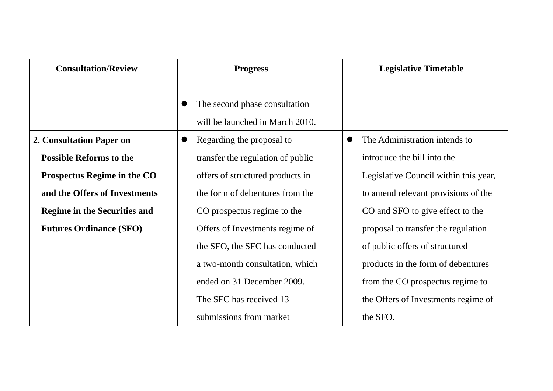| <b>Consultation/Review</b>          | <b>Progress</b>                   | <b>Legislative Timetable</b>               |
|-------------------------------------|-----------------------------------|--------------------------------------------|
|                                     |                                   |                                            |
|                                     | The second phase consultation     |                                            |
|                                     | will be launched in March 2010.   |                                            |
| 2. Consultation Paper on            | Regarding the proposal to         | The Administration intends to<br>$\bullet$ |
| <b>Possible Reforms to the</b>      | transfer the regulation of public | introduce the bill into the                |
| Prospectus Regime in the CO         | offers of structured products in  | Legislative Council within this year,      |
| and the Offers of Investments       | the form of debentures from the   | to amend relevant provisions of the        |
| <b>Regime in the Securities and</b> | CO prospectus regime to the       | CO and SFO to give effect to the           |
| <b>Futures Ordinance (SFO)</b>      | Offers of Investments regime of   | proposal to transfer the regulation        |
|                                     | the SFO, the SFC has conducted    | of public offers of structured             |
|                                     | a two-month consultation, which   | products in the form of debentures         |
|                                     | ended on 31 December 2009.        | from the CO prospectus regime to           |
|                                     | The SFC has received 13           | the Offers of Investments regime of        |
|                                     | submissions from market           | the SFO.                                   |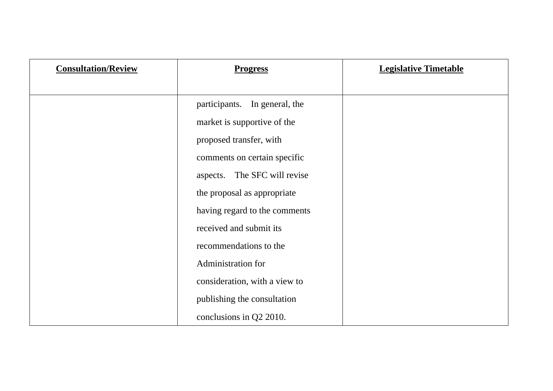| <b>Consultation/Review</b> | <b>Progress</b>               | <b>Legislative Timetable</b> |
|----------------------------|-------------------------------|------------------------------|
|                            |                               |                              |
|                            | participants. In general, the |                              |
|                            | market is supportive of the   |                              |
|                            | proposed transfer, with       |                              |
|                            | comments on certain specific  |                              |
|                            | aspects. The SFC will revise  |                              |
|                            | the proposal as appropriate   |                              |
|                            | having regard to the comments |                              |
|                            | received and submit its       |                              |
|                            | recommendations to the        |                              |
|                            | Administration for            |                              |
|                            | consideration, with a view to |                              |
|                            | publishing the consultation   |                              |
|                            | conclusions in Q2 2010.       |                              |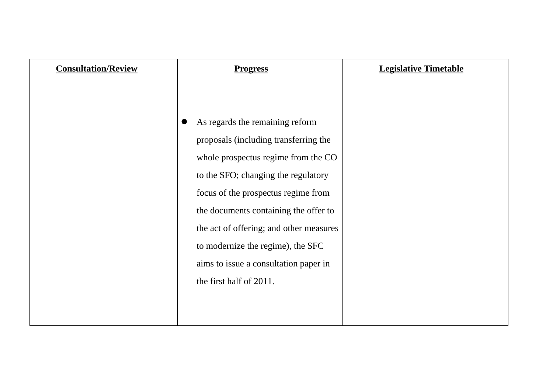| <b>Consultation/Review</b> | <b>Progress</b>                         | <b>Legislative Timetable</b> |
|----------------------------|-----------------------------------------|------------------------------|
|                            |                                         |                              |
|                            |                                         |                              |
|                            | As regards the remaining reform         |                              |
|                            | proposals (including transferring the   |                              |
|                            | whole prospectus regime from the CO     |                              |
|                            | to the SFO; changing the regulatory     |                              |
|                            | focus of the prospectus regime from     |                              |
|                            | the documents containing the offer to   |                              |
|                            | the act of offering; and other measures |                              |
|                            | to modernize the regime), the SFC       |                              |
|                            | aims to issue a consultation paper in   |                              |
|                            | the first half of 2011.                 |                              |
|                            |                                         |                              |
|                            |                                         |                              |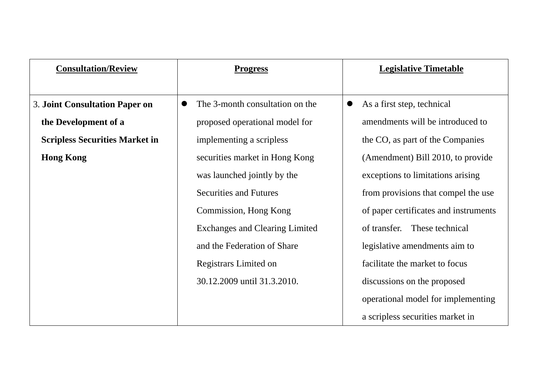| <b>Consultation/Review</b>            | <b>Progress</b>                              | <b>Legislative Timetable</b>            |
|---------------------------------------|----------------------------------------------|-----------------------------------------|
|                                       |                                              |                                         |
| <b>3. Joint Consultation Paper on</b> | The 3-month consultation on the<br>$\bullet$ | As a first step, technical<br>$\bullet$ |
| the Development of a                  | proposed operational model for               | amendments will be introduced to        |
| <b>Scripless Securities Market in</b> | implementing a scripless                     | the CO, as part of the Companies        |
| <b>Hong Kong</b>                      | securities market in Hong Kong               | (Amendment) Bill 2010, to provide       |
|                                       | was launched jointly by the                  | exceptions to limitations arising       |
|                                       | <b>Securities and Futures</b>                | from provisions that compel the use     |
|                                       | Commission, Hong Kong                        | of paper certificates and instruments   |
|                                       | <b>Exchanges and Clearing Limited</b>        | These technical<br>of transfer.         |
|                                       | and the Federation of Share                  | legislative amendments aim to           |
|                                       | Registrars Limited on                        | facilitate the market to focus          |
|                                       | 30.12.2009 until 31.3.2010.                  | discussions on the proposed             |
|                                       |                                              | operational model for implementing      |
|                                       |                                              | a scripless securities market in        |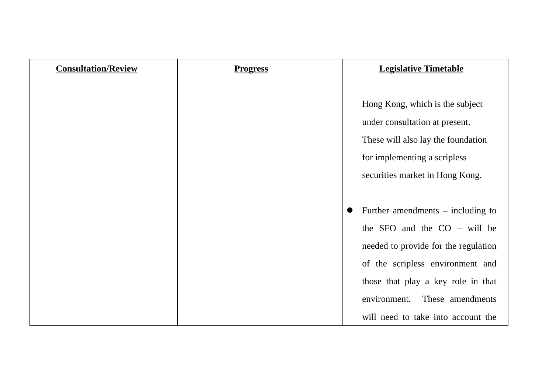| <b>Consultation/Review</b> | <b>Progress</b> | <b>Legislative Timetable</b>         |
|----------------------------|-----------------|--------------------------------------|
|                            |                 |                                      |
|                            |                 | Hong Kong, which is the subject      |
|                            |                 | under consultation at present.       |
|                            |                 | These will also lay the foundation   |
|                            |                 | for implementing a scripless         |
|                            |                 | securities market in Hong Kong.      |
|                            |                 |                                      |
|                            |                 | Further amendments $-$ including to  |
|                            |                 | the SFO and the $CO -$ will be       |
|                            |                 | needed to provide for the regulation |
|                            |                 | of the scripless environment and     |
|                            |                 | those that play a key role in that   |
|                            |                 | environment.<br>These amendments     |
|                            |                 | will need to take into account the   |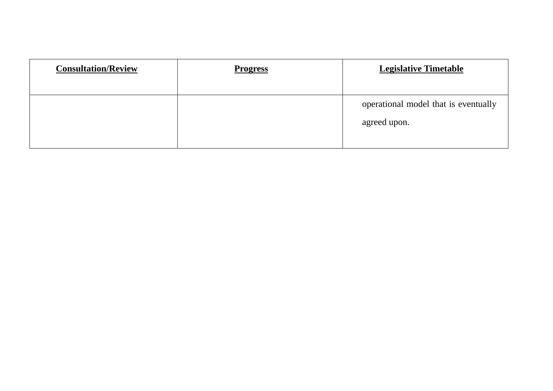| <b>Consultation/Review</b> | <b>Progress</b> | <b>Legislative Timetable</b>                         |
|----------------------------|-----------------|------------------------------------------------------|
|                            |                 | operational model that is eventually<br>agreed upon. |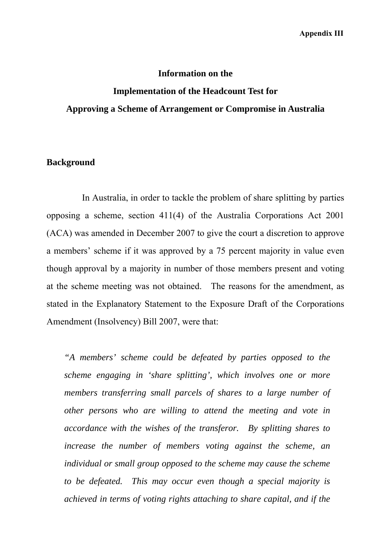#### **Information on the**

# **Implementation of the Headcount Test for Approving a Scheme of Arrangement or Compromise in Australia**

# **Background**

 In Australia, in order to tackle the problem of share splitting by parties opposing a scheme, section 411(4) of the Australia Corporations Act 2001 (ACA) was amended in December 2007 to give the court a discretion to approve a members' scheme if it was approved by a 75 percent majority in value even though approval by a majority in number of those members present and voting at the scheme meeting was not obtained. The reasons for the amendment, as stated in the Explanatory Statement to the Exposure Draft of the Corporations Amendment (Insolvency) Bill 2007, were that:

*"A members' scheme could be defeated by parties opposed to the scheme engaging in 'share splitting', which involves one or more members transferring small parcels of shares to a large number of other persons who are willing to attend the meeting and vote in accordance with the wishes of the transferor. By splitting shares to increase the number of members voting against the scheme, an individual or small group opposed to the scheme may cause the scheme to be defeated. This may occur even though a special majority is achieved in terms of voting rights attaching to share capital, and if the*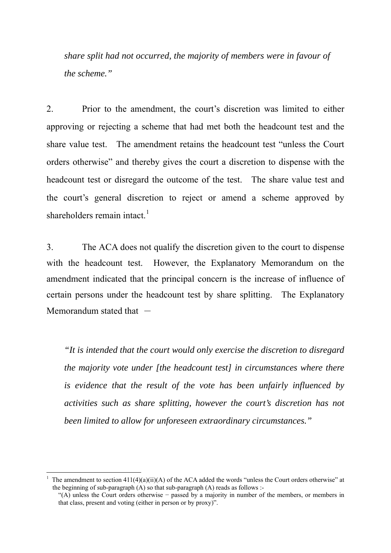*share split had not occurred, the majority of members were in favour of the scheme."*

2. Prior to the amendment, the court's discretion was limited to either approving or rejecting a scheme that had met both the headcount test and the share value test. The amendment retains the headcount test "unless the Court orders otherwise" and thereby gives the court a discretion to dispense with the headcount test or disregard the outcome of the test. The share value test and the court's general discretion to reject or amend a scheme approved by shareholders remain intact. $<sup>1</sup>$  $<sup>1</sup>$  $<sup>1</sup>$ </sup>

3. The ACA does not qualify the discretion given to the court to dispense with the headcount test. However, the Explanatory Memorandum on the amendment indicated that the principal concern is the increase of influence of certain persons under the headcount test by share splitting. The Explanatory Memorandum stated that  $-$ 

*"It is intended that the court would only exercise the discretion to disregard the majority vote under [the headcount test] in circumstances where there is evidence that the result of the vote has been unfairly influenced by activities such as share splitting, however the court's discretion has not been limited to allow for unforeseen extraordinary circumstances."*

1

<span id="page-21-0"></span><sup>1</sup> The amendment to section 411(4)(a)(ii)(A) of the ACA added the words "unless the Court orders otherwise" at the beginning of sub-paragraph (A) so that sub-paragraph (A) reads as follows :-

<sup>&</sup>quot;(A) unless the Court orders otherwise − passed by a majority in number of the members, or members in that class, present and voting (either in person or by proxy)".